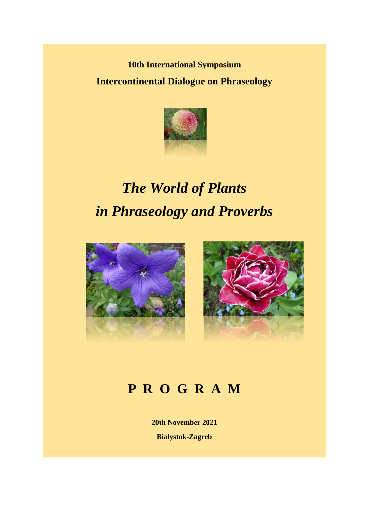**10th International Symposium Intercontinental Dialogue on Phraseology**



## *The World of Plants in Phraseology and Proverbs*





## **P R O G R A M**

**20th November 2021 Bialystok-Zagreb**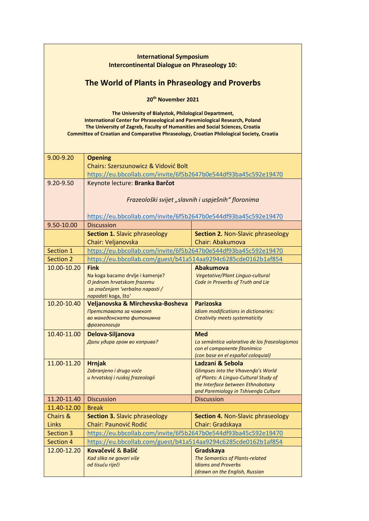| <b>International Symposium</b><br><b>Intercontinental Dialogue on Phraseology 10:</b> |                                                                                                                                                                                                                                                                                                                                 |                                                                             |  |  |
|---------------------------------------------------------------------------------------|---------------------------------------------------------------------------------------------------------------------------------------------------------------------------------------------------------------------------------------------------------------------------------------------------------------------------------|-----------------------------------------------------------------------------|--|--|
| The World of Plants in Phraseology and Proverbs                                       |                                                                                                                                                                                                                                                                                                                                 |                                                                             |  |  |
| 20 <sup>th</sup> November 2021                                                        |                                                                                                                                                                                                                                                                                                                                 |                                                                             |  |  |
|                                                                                       |                                                                                                                                                                                                                                                                                                                                 |                                                                             |  |  |
|                                                                                       | The University of Bialystok, Philological Department,<br><b>International Center for Phraseological and Paremiological Research, Poland</b><br>The University of Zagreb, Faculty of Humanities and Social Sciences, Croatia<br><b>Committee of Croatian and Comparative Phraseology, Croatian Philological Society, Croatia</b> |                                                                             |  |  |
| 9.00-9.20                                                                             | <b>Opening</b>                                                                                                                                                                                                                                                                                                                  |                                                                             |  |  |
|                                                                                       | <b>Chairs: Szerszunowicz &amp; Vidović Bolt</b>                                                                                                                                                                                                                                                                                 |                                                                             |  |  |
|                                                                                       | https://eu.bbcollab.com/invite/6f5b2647b0e544df93ba45c592e19470                                                                                                                                                                                                                                                                 |                                                                             |  |  |
| 9.20-9.50                                                                             | Keynote lecture: Branka Barčot                                                                                                                                                                                                                                                                                                  |                                                                             |  |  |
|                                                                                       | Frazeološki svijet "slavnih i uspješnih" floronima                                                                                                                                                                                                                                                                              |                                                                             |  |  |
|                                                                                       |                                                                                                                                                                                                                                                                                                                                 |                                                                             |  |  |
|                                                                                       | https://eu.bbcollab.com/invite/6f5b2647b0e544df93ba45c592e19470                                                                                                                                                                                                                                                                 |                                                                             |  |  |
| 9.50-10.00                                                                            | <b>Discussion</b>                                                                                                                                                                                                                                                                                                               |                                                                             |  |  |
|                                                                                       | <b>Section 1. Slavic phraseology</b>                                                                                                                                                                                                                                                                                            | <b>Section 2. Non-Slavic phraseology</b>                                    |  |  |
|                                                                                       | Chair: Veljanovska                                                                                                                                                                                                                                                                                                              | Chair: Abakumova                                                            |  |  |
| Section 1                                                                             | https://eu.bbcollab.com/invite/6f5b2647b0e544df93ba45c592e19470                                                                                                                                                                                                                                                                 |                                                                             |  |  |
| <b>Section 2</b>                                                                      | https://eu.bbcollab.com/guest/b41a514aa9294c6285cde0162b1af854                                                                                                                                                                                                                                                                  |                                                                             |  |  |
| 10.00-10.20                                                                           | <b>Fink</b>                                                                                                                                                                                                                                                                                                                     | <b>Abakumova</b>                                                            |  |  |
|                                                                                       | Na koga bacamo drvlje i kamenje?                                                                                                                                                                                                                                                                                                | Vegetative/Plant Linguo-cultural                                            |  |  |
|                                                                                       | O jednom hrvatskom frazemu<br>sa značenjem 'verbalno napasti /                                                                                                                                                                                                                                                                  | Code in Proverbs of Truth and Lie                                           |  |  |
|                                                                                       | napadati koga, što'                                                                                                                                                                                                                                                                                                             |                                                                             |  |  |
| 10.20-10.40                                                                           | Veljanovska & Mirchevska-Bosheva                                                                                                                                                                                                                                                                                                | <b>Parizoska</b>                                                            |  |  |
|                                                                                       | Претставата за човекот                                                                                                                                                                                                                                                                                                          | Idiom modifications in dictionaries:                                        |  |  |
|                                                                                       | во македонската фитонимна<br>фразеологија                                                                                                                                                                                                                                                                                       | Creativity meets systematicity                                              |  |  |
| 10.40-11.00                                                                           | Delova-Siljanova                                                                                                                                                                                                                                                                                                                | <b>Med</b>                                                                  |  |  |
|                                                                                       | Дали удира гром во коприва?                                                                                                                                                                                                                                                                                                     | La semántica valorativa de los fraseologismos                               |  |  |
|                                                                                       |                                                                                                                                                                                                                                                                                                                                 | con el componente fitonímico                                                |  |  |
|                                                                                       |                                                                                                                                                                                                                                                                                                                                 | (con base en el español coloquial)                                          |  |  |
| 11.00-11.20                                                                           | <b>Hrnjak</b>                                                                                                                                                                                                                                                                                                                   | Ladzani & Sebola                                                            |  |  |
|                                                                                       | Zabranjeno i drugo voće<br>u hrvatskoj i ruskoj frazeologii                                                                                                                                                                                                                                                                     | Glimpses into the Vhavenda's World<br>of Plants: A Linguo-Cultural Study of |  |  |
|                                                                                       |                                                                                                                                                                                                                                                                                                                                 | the Interface between Ethnobotany                                           |  |  |
|                                                                                       |                                                                                                                                                                                                                                                                                                                                 | and Paremiology in Tshivenda Culture                                        |  |  |
| 11.20-11.40                                                                           | <b>Discussion</b>                                                                                                                                                                                                                                                                                                               | <b>Discussion</b>                                                           |  |  |
| 11.40-12.00                                                                           | <b>Break</b>                                                                                                                                                                                                                                                                                                                    |                                                                             |  |  |
| Chairs &                                                                              | <b>Section 3. Slavic phraseology</b>                                                                                                                                                                                                                                                                                            | <b>Section 4. Non-Slavic phraseology</b>                                    |  |  |
| Links                                                                                 | <b>Chair: Paunović Rodić</b>                                                                                                                                                                                                                                                                                                    | Chair: Gradskaya                                                            |  |  |
|                                                                                       | Section 3<br>https://eu.bbcollab.com/invite/6f5b2647b0e544df93ba45c592e19470<br>https://eu.bbcollab.com/guest/b41a514aa9294c6285cde0162b1af854                                                                                                                                                                                  |                                                                             |  |  |
| Section 4                                                                             | Kovačević & Bašić                                                                                                                                                                                                                                                                                                               |                                                                             |  |  |
| 12.00-12.20                                                                           | Kad slika ne govori više                                                                                                                                                                                                                                                                                                        | Gradskaya<br>The Semantics of Plants-related                                |  |  |
|                                                                                       | od tisuću riječi                                                                                                                                                                                                                                                                                                                | <b>Idioms and Proverbs</b>                                                  |  |  |
|                                                                                       |                                                                                                                                                                                                                                                                                                                                 | (drawn on the English, Russian                                              |  |  |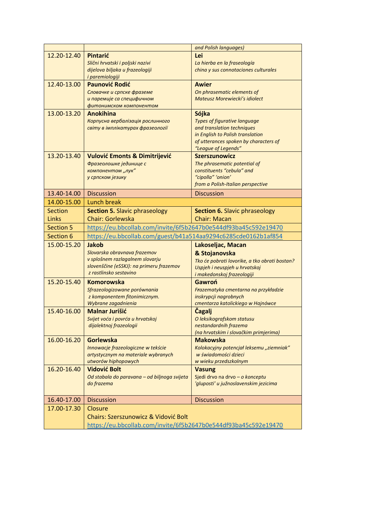|                  |                                                                    | and Polish languages)                                         |
|------------------|--------------------------------------------------------------------|---------------------------------------------------------------|
| 12.20-12.40      | <b>Pintarić</b>                                                    | Lei                                                           |
|                  | Slični hrvatski i poljski nazivi                                   | La hierba en la fraseología                                   |
|                  | dijelova biljaka u frazeologiji                                    | china y sus connotaciones culturales                          |
|                  | <i>i paremiologiji</i>                                             |                                                               |
| 12.40-13.00      | <b>Paunović Rodić</b>                                              | <b>Awier</b>                                                  |
|                  | Словачке и српске фраземе                                          | On phrasematic elements of                                    |
|                  | и паремије са специфичном                                          | <b>Mateusz Morewiecki's idiolect</b>                          |
| 13.00-13.20      | фитонимском компонентом<br><b>Anokihina</b>                        | Sójka                                                         |
|                  | Корпусна вербалізація рослинного                                   | <b>Types of figurative language</b>                           |
|                  | світу в імплікатурах фразеології                                   | and translation techniques                                    |
|                  |                                                                    | in English to Polish translation                              |
|                  |                                                                    | of utterances spoken by characters of                         |
|                  |                                                                    | "League of Legends"                                           |
| 13.20-13.40      | <b>Vulović Emonts &amp; Dimitrijević</b>                           | <b>Szerszunowicz</b>                                          |
|                  | Фразеолошке јединице с                                             | The phrasematic potential of                                  |
|                  | компонентом "лук"                                                  | constituents "cebula" and<br>"cipolla" 'onion'                |
|                  | у српском језику                                                   | from a Polish-Italian perspective                             |
| 13.40-14.00      | <b>Discussion</b>                                                  | <b>Discussion</b>                                             |
| 14.00-15.00      | <b>Lunch break</b>                                                 |                                                               |
| <b>Section</b>   |                                                                    |                                                               |
|                  | <b>Section 5. Slavic phraseology</b>                               | <b>Section 6. Slavic phraseology</b>                          |
| Links            | <b>Chair: Gorlewska</b>                                            | <b>Chair: Macan</b>                                           |
| <b>Section 5</b> | https://eu.bbcollab.com/invite/6f5b2647b0e544df93ba45c592e19470    |                                                               |
| Section 6        | https://eu.bbcollab.com/guest/b41a514aa9294c6285cde0162b1af854     |                                                               |
|                  |                                                                    |                                                               |
| 15.00-15.20      | <b>Jakob</b>                                                       | Lakoseljac, Macan                                             |
|                  | Slovarska obravnava frazemov                                       | & Stojanovska                                                 |
|                  | v splošnem razlagalnem slovarju                                    | Tko će pobrati lovorike, a tko obrati bostan?                 |
|                  | slovenščine (eSSKJ): na primeru frazemov<br>z rastlinsko sestavino | Uspjeh i neuspjeh u hrvatskoj                                 |
|                  |                                                                    | i makedonskoj frazeologiji                                    |
| 15.20-15.40      | <b>Komorowska</b>                                                  | Gawroń                                                        |
|                  | Sfrazeologizowane porównania<br>z komponentem fitonimicznym.       | Frazematyka cmentarna na przykładzie<br>inskrypcji nagrobnych |
|                  | Wybrane zagadnienia                                                | cmentarza katolickiego w Hajnówce                             |
| 15.40-16.00      | <b>Malnar Jurišić</b>                                              | <b>Čagalj</b>                                                 |
|                  | Svijet voća i povrća u hrvatskoj                                   | O leksikografskom statusu                                     |
|                  | dijalektnoj frazeologii                                            | nestandardnih frazema                                         |
|                  |                                                                    | (na hrvatskim i slovačkim primjerima)                         |
| 16.00-16.20      | <b>Gorlewska</b>                                                   | <b>Makowska</b>                                               |
|                  | Innowacje frazeologiczne w tekście                                 | Kolokacyjny potencjał leksemu "ziemniak"                      |
|                  | artystycznym na materiale wybranych                                | w świadomości dzieci                                          |
| 16.20-16.40      | utworów hiphopowych<br><b>Vidović Bolt</b>                         | w wieku przedszkolnym<br><b>Vasung</b>                        |
|                  | Od stabala do paravana - od biljnoga svijeta                       | Sjedi drvo na drvo - o konceptu                               |
|                  | do frazema                                                         | 'gluposti' u južnoslavenskim jezicima                         |
|                  |                                                                    |                                                               |
| 16.40-17.00      | <b>Discussion</b>                                                  | <b>Discussion</b>                                             |
| 17.00-17.30      | Closure                                                            |                                                               |
|                  | <b>Chairs: Szerszunowicz &amp; Vidović Bolt</b>                    |                                                               |